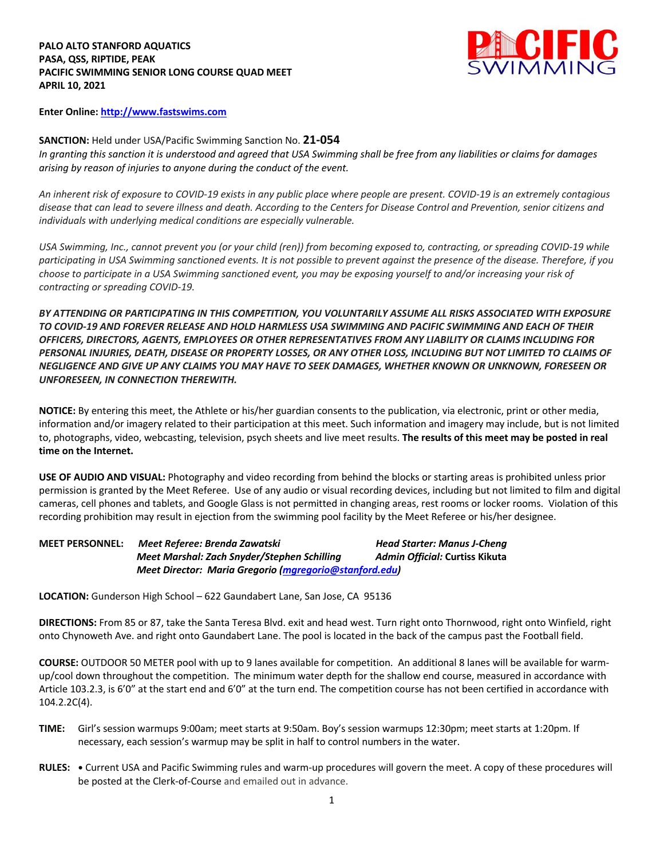## **PALO ALTO STANFORD AQUATICS PASA, QSS, RIPTIDE, PEAK PACIFIC SWIMMING SENIOR LONG COURSE QUAD MEET APRIL 10, 2021**



**Enter Online: http://www.fastswims.com**

**SANCTION:** Held under USA/Pacific Swimming Sanction No. **21-054** *In granting this sanction it is understood and agreed that USA Swimming shall be free from any liabilities or claims for damages arising by reason of injuries to anyone during the conduct of the event.* 

*An inherent risk of exposure to COVID-19 exists in any public place where people are present. COVID-19 is an extremely contagious disease that can lead to severe illness and death. According to the Centers for Disease Control and Prevention, senior citizens and individuals with underlying medical conditions are especially vulnerable.*

*USA Swimming, Inc., cannot prevent you (or your child (ren)) from becoming exposed to, contracting, or spreading COVID-19 while participating in USA Swimming sanctioned events. It is not possible to prevent against the presence of the disease. Therefore, if you choose to participate in a USA Swimming sanctioned event, you may be exposing yourself to and/or increasing your risk of contracting or spreading COVID-19.*

*BY ATTENDING OR PARTICIPATING IN THIS COMPETITION, YOU VOLUNTARILY ASSUME ALL RISKS ASSOCIATED WITH EXPOSURE TO COVID-19 AND FOREVER RELEASE AND HOLD HARMLESS USA SWIMMING AND PACIFIC SWIMMING AND EACH OF THEIR OFFICERS, DIRECTORS, AGENTS, EMPLOYEES OR OTHER REPRESENTATIVES FROM ANY LIABILITY OR CLAIMS INCLUDING FOR PERSONAL INJURIES, DEATH, DISEASE OR PROPERTY LOSSES, OR ANY OTHER LOSS, INCLUDING BUT NOT LIMITED TO CLAIMS OF NEGLIGENCE AND GIVE UP ANY CLAIMS YOU MAY HAVE TO SEEK DAMAGES, WHETHER KNOWN OR UNKNOWN, FORESEEN OR UNFORESEEN, IN CONNECTION THEREWITH.*

**NOTICE:** By entering this meet, the Athlete or his/her guardian consents to the publication, via electronic, print or other media, information and/or imagery related to their participation at this meet. Such information and imagery may include, but is not limited to, photographs, video, webcasting, television, psych sheets and live meet results. **The results of this meet may be posted in real time on the Internet.**

**USE OF AUDIO AND VISUAL:** Photography and video recording from behind the blocks or starting areas is prohibited unless prior permission is granted by the Meet Referee. Use of any audio or visual recording devices, including but not limited to film and digital cameras, cell phones and tablets, and Google Glass is not permitted in changing areas, rest rooms or locker rooms. Violation of this recording prohibition may result in ejection from the swimming pool facility by the Meet Referee or his/her designee.

| <b>MEET PERSONNEL:</b> | Meet Referee: Brenda Zawatski                                 | <b>Head Starter: Manus J-Cheng</b> |  |
|------------------------|---------------------------------------------------------------|------------------------------------|--|
|                        | Meet Marshal: Zach Snyder/Stephen Schilling                   | Admin Official: Curtiss Kikuta     |  |
|                        | <b>Meet Director: Maria Gregorio (mgregorio@stanford.edu)</b> |                                    |  |

**LOCATION:** Gunderson High School – 622 Gaundabert Lane, San Jose, CA 95136

**DIRECTIONS:** From 85 or 87, take the Santa Teresa Blvd. exit and head west. Turn right onto Thornwood, right onto Winfield, right onto Chynoweth Ave. and right onto Gaundabert Lane. The pool is located in the back of the campus past the Football field.

**COURSE:** OUTDOOR 50 METER pool with up to 9 lanes available for competition. An additional 8 lanes will be available for warmup/cool down throughout the competition. The minimum water depth for the shallow end course, measured in accordance with Article 103.2.3, is 6'0" at the start end and 6'0" at the turn end. The competition course has not been certified in accordance with 104.2.2C(4).

- **TIME:** Girl's session warmups 9:00am; meet starts at 9:50am. Boy's session warmups 12:30pm; meet starts at 1:20pm. If necessary, each session's warmup may be split in half to control numbers in the water.
- **RULES: •** Current USA and Pacific Swimming rules and warm-up procedures will govern the meet. A copy of these procedures will be posted at the Clerk-of-Course and emailed out in advance.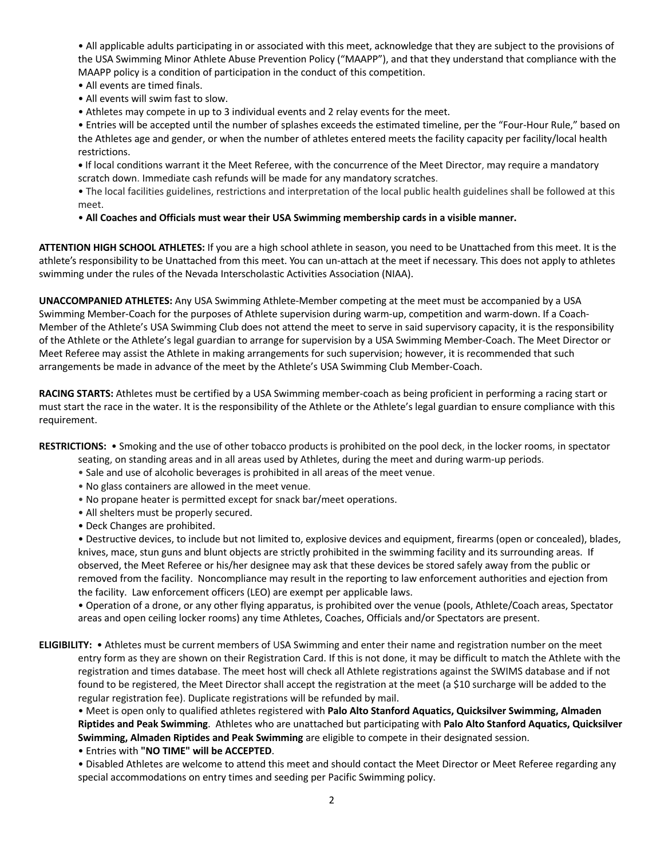• All applicable adults participating in or associated with this meet, acknowledge that they are subject to the provisions of the USA Swimming Minor Athlete Abuse Prevention Policy ("MAAPP"), and that they understand that compliance with the MAAPP policy is a condition of participation in the conduct of this competition.

- All events are timed finals.
- All events will swim fast to slow.
- Athletes may compete in up to 3 individual events and 2 relay events for the meet.

• Entries will be accepted until the number of splashes exceeds the estimated timeline, per the "Four-Hour Rule," based on the Athletes age and gender, or when the number of athletes entered meets the facility capacity per facility/local health restrictions.

**•** If local conditions warrant it the Meet Referee, with the concurrence of the Meet Director, may require a mandatory scratch down. Immediate cash refunds will be made for any mandatory scratches.

• The local facilities guidelines, restrictions and interpretation of the local public health guidelines shall be followed at this meet.

• **All Coaches and Officials must wear their USA Swimming membership cards in a visible manner.** 

**ATTENTION HIGH SCHOOL ATHLETES:** If you are a high school athlete in season, you need to be Unattached from this meet. It is the athlete's responsibility to be Unattached from this meet. You can un-attach at the meet if necessary. This does not apply to athletes swimming under the rules of the Nevada Interscholastic Activities Association (NIAA).

**UNACCOMPANIED ATHLETES:** Any USA Swimming Athlete-Member competing at the meet must be accompanied by a USA Swimming Member-Coach for the purposes of Athlete supervision during warm-up, competition and warm-down. If a Coach-Member of the Athlete's USA Swimming Club does not attend the meet to serve in said supervisory capacity, it is the responsibility of the Athlete or the Athlete's legal guardian to arrange for supervision by a USA Swimming Member-Coach. The Meet Director or Meet Referee may assist the Athlete in making arrangements for such supervision; however, it is recommended that such arrangements be made in advance of the meet by the Athlete's USA Swimming Club Member-Coach.

**RACING STARTS:** Athletes must be certified by a USA Swimming member-coach as being proficient in performing a racing start or must start the race in the water. It is the responsibility of the Athlete or the Athlete's legal guardian to ensure compliance with this requirement.

**RESTRICTIONS:** • Smoking and the use of other tobacco products is prohibited on the pool deck, in the locker rooms, in spectator

- seating, on standing areas and in all areas used by Athletes, during the meet and during warm-up periods.
- Sale and use of alcoholic beverages is prohibited in all areas of the meet venue.
- No glass containers are allowed in the meet venue.
- No propane heater is permitted except for snack bar/meet operations.
- All shelters must be properly secured.
- Deck Changes are prohibited.

• Destructive devices, to include but not limited to, explosive devices and equipment, firearms (open or concealed), blades, knives, mace, stun guns and blunt objects are strictly prohibited in the swimming facility and its surrounding areas. If observed, the Meet Referee or his/her designee may ask that these devices be stored safely away from the public or removed from the facility. Noncompliance may result in the reporting to law enforcement authorities and ejection from the facility. Law enforcement officers (LEO) are exempt per applicable laws.

• Operation of a drone, or any other flying apparatus, is prohibited over the venue (pools, Athlete/Coach areas, Spectator areas and open ceiling locker rooms) any time Athletes, Coaches, Officials and/or Spectators are present.

**ELIGIBILITY:** • Athletes must be current members of USA Swimming and enter their name and registration number on the meet entry form as they are shown on their Registration Card. If this is not done, it may be difficult to match the Athlete with the registration and times database. The meet host will check all Athlete registrations against the SWIMS database and if not found to be registered, the Meet Director shall accept the registration at the meet (a \$10 surcharge will be added to the regular registration fee). Duplicate registrations will be refunded by mail.

• Meet is open only to qualified athletes registered with **Palo Alto Stanford Aquatics, Quicksilver Swimming, Almaden Riptides and Peak Swimming**. Athletes who are unattached but participating with **Palo Alto Stanford Aquatics, Quicksilver Swimming, Almaden Riptides and Peak Swimming** are eligible to compete in their designated session.

• Entries with **"NO TIME" will be ACCEPTED**.

• Disabled Athletes are welcome to attend this meet and should contact the Meet Director or Meet Referee regarding any special accommodations on entry times and seeding per Pacific Swimming policy.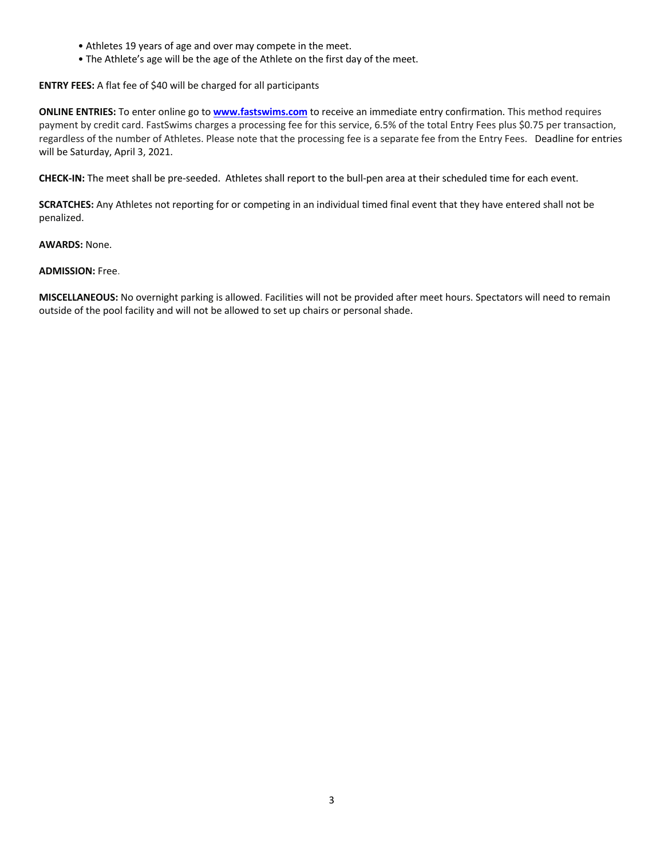- Athletes 19 years of age and over may compete in the meet.
- The Athlete's age will be the age of the Athlete on the first day of the meet.

**ENTRY FEES:** A flat fee of \$40 will be charged for all participants

**ONLINE ENTRIES:** To enter online go to **www.fastswims.com** to receive an immediate entry confirmation. This method requires payment by credit card. FastSwims charges a processing fee for this service, 6.5% of the total Entry Fees plus \$0.75 per transaction, regardless of the number of Athletes. Please note that the processing fee is a separate fee from the Entry Fees. Deadline for entries will be Saturday, April 3, 2021.

**CHECK-IN:** The meet shall be pre-seeded. Athletes shall report to the bull-pen area at their scheduled time for each event.

**SCRATCHES:** Any Athletes not reporting for or competing in an individual timed final event that they have entered shall not be penalized.

**AWARDS:** None.

## **ADMISSION:** Free.

**MISCELLANEOUS:** No overnight parking is allowed. Facilities will not be provided after meet hours. Spectators will need to remain outside of the pool facility and will not be allowed to set up chairs or personal shade.